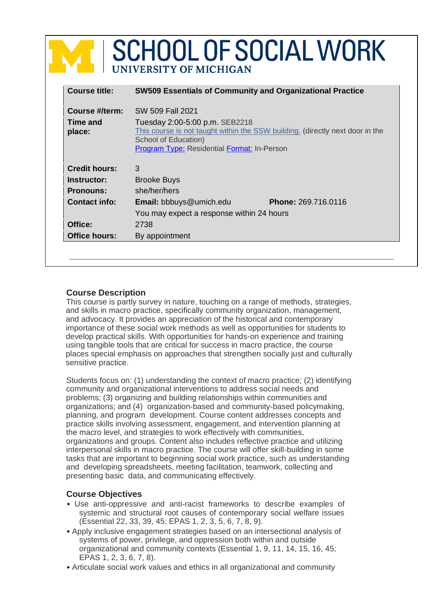|                                      | <b>SCHOOL OF SOCIAL WORK</b><br>UNIVERSITY OF MICHIGAN                                                                                                                                                            |  |  |
|--------------------------------------|-------------------------------------------------------------------------------------------------------------------------------------------------------------------------------------------------------------------|--|--|
| <b>Course title:</b>                 | <b>SW509 Essentials of Community and Organizational Practice</b>                                                                                                                                                  |  |  |
| Course #/term:<br>Time and<br>place: | SW 509 Fall 2021<br>Tuesday 2:00-5:00 p.m. SEB2218<br>This course is not taught within the SSW building. (directly next door in the<br>School of Education)<br><b>Program Type: Residential Format: In-Person</b> |  |  |
| <b>Credit hours:</b>                 | 3                                                                                                                                                                                                                 |  |  |
| Instructor:                          | <b>Brooke Buys</b>                                                                                                                                                                                                |  |  |
| <b>Pronouns:</b>                     | she/her/hers                                                                                                                                                                                                      |  |  |
| <b>Contact info:</b>                 | <b>Phone: 269.716.0116</b><br>Email: bbbuys@umich.edu<br>You may expect a response within 24 hours                                                                                                                |  |  |
| Office:                              | 2738                                                                                                                                                                                                              |  |  |
| <b>Office hours:</b>                 | By appointment                                                                                                                                                                                                    |  |  |

# **Course Description**

This course is partly survey in nature, touching on a range of methods, strategies, and skills in macro practice, specifically community organization, management, and advocacy. It provides an appreciation of the historical and contemporary importance of these social work methods as well as opportunities for students to develop practical skills. With opportunities for hands-on experience and training using tangible tools that are critical for success in macro practice, the course places special emphasis on approaches that strengthen socially just and culturally sensitive practice.

Students focus on: (1) understanding the context of macro practice; (2) identifying community and organizational interventions to address social needs and problems; (3) organizing and building relationships within communities and organizations; and (4) organization-based and community-based policymaking, planning, and program development. Course content addresses concepts and practice skills involving assessment, engagement, and intervention planning at the macro level, and strategies to work effectively with communities, organizations and groups. Content also includes reflective practice and utilizing interpersonal skills in macro practice. The course will offer skill-building in some tasks that are important to beginning social work practice, such as understanding and developing spreadsheets, meeting facilitation, teamwork, collecting and presenting basic data, and communicating effectively.

# **Course Objectives**

- Use anti-oppressive and anti-racist frameworks to describe examples of systemic and structural root causes of contemporary social welfare issues (Essential 22, 33, 39, 45; EPAS 1, 2, 3, 5, 6, 7, 8, 9).
- Apply inclusive engagement strategies based on an intersectional analysis of systems of power, privilege, and oppression both within and outside organizational and community contexts (Essential 1, 9, 11, 14, 15, 16, 45; EPAS 1, 2, 3, 6, 7, 8).
- Articulate social work values and ethics in all organizational and community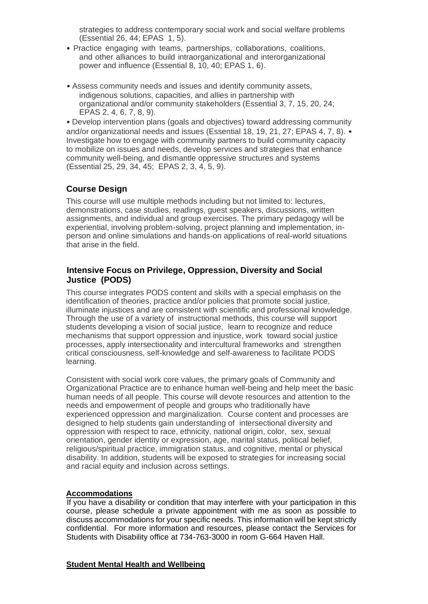strategies to address contemporary social work and social welfare problems (Essential 26, 44; EPAS 1, 5).

- Practice engaging with teams, partnerships, collaborations, coalitions, and other alliances to build intraorganizational and interorganizational power and influence (Essential 8, 10, 40; EPAS 1, 6).
- Assess community needs and issues and identify community assets, indigenous solutions, capacities, and allies in partnership with organizational and/or community stakeholders (Essential 3, 7, 15, 20, 24; EPAS 2, 4, 6, 7, 8, 9).

• Develop intervention plans (goals and objectives) toward addressing community and/or organizational needs and issues (Essential 18, 19, 21, 27; EPAS 4, 7, 8). • Investigate how to engage with community partners to build community capacity to mobilize on issues and needs, develop services and strategies that enhance community well-being, and dismantle oppressive structures and systems (Essential 25, 29, 34, 45; EPAS 2, 3, 4, 5, 9).

# **Course Design**

This course will use multiple methods including but not limited to: lectures, demonstrations, case studies, readings, guest speakers, discussions, written assignments, and individual and group exercises. The primary pedagogy will be experiential, involving problem-solving, project planning and implementation, inperson and online simulations and hands-on applications of real-world situations that arise in the field.

# **Intensive Focus on Privilege, Oppression, Diversity and Social Justice (PODS)**

This course integrates PODS content and skills with a special emphasis on the identification of theories, practice and/or policies that promote social justice, illuminate injustices and are consistent with scientific and professional knowledge. Through the use of a variety of instructional methods, this course will support students developing a vision of social justice, learn to recognize and reduce mechanisms that support oppression and injustice, work toward social justice processes, apply intersectionality and intercultural frameworks and strengthen critical consciousness, self-knowledge and self-awareness to facilitate PODS learning.

Consistent with social work core values, the primary goals of Community and Organizational Practice are to enhance human well-being and help meet the basic human needs of all people. This course will devote resources and attention to the needs and empowerment of people and groups who traditionally have experienced oppression and marginalization. Course content and processes are designed to help students gain understanding of intersectional diversity and oppression with respect to race, ethnicity, national origin, color, sex, sexual orientation, gender identity or expression, age, marital status, political belief, religious/spiritual practice, immigration status, and cognitive, mental or physical disability. In addition, students will be exposed to strategies for increasing social and racial equity and inclusion across settings.

# **Accommodations**

If you have a disability or condition that may interfere with your participation in this course, please schedule a private appointment with me as soon as possible to discuss accommodations for your specific needs. This information will be kept strictly confidential. For more information and resources, please contact the Services for Students with Disability office at 734-763-3000 in room G-664 Haven Hall.

# **Student Mental Health and Wellbeing**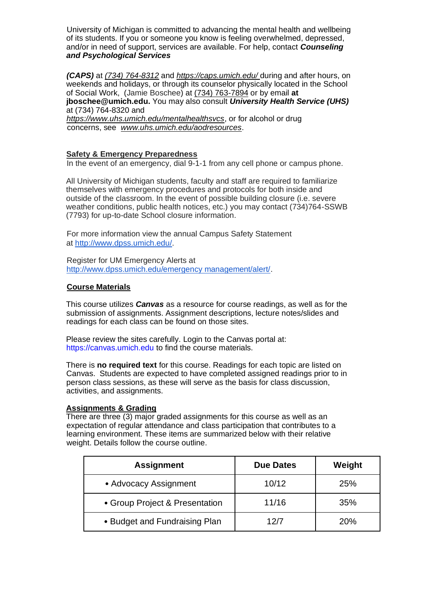University of Michigan is committed to advancing the mental health and wellbeing of its students. If you or someone you know is feeling overwhelmed, depressed, and/or in need of support, services are available. For help, contact *Counseling and Psychological Services* 

*(CAPS)* at *(734) 764-8312* and *https://caps.umich.edu/* during and after hours, on weekends and holidays, or through its counselor physically located in the School of Social Work, (Jamie Boschee) at (734) 763-7894 or by email **at jboschee@umich.edu.** You may also consult *University Health Service (UHS)*  at (734) 764-8320 and

*https://www.uhs.umich.edu/mentalhealthsvcs*, or for alcohol or drug concerns, see *www.uhs.umich.edu/aodresources*.

## **Safety & Emergency Preparedness**

In the event of an emergency, dial 9-1-1 from any cell phone or campus phone.

All University of Michigan students, faculty and staff are required to familiarize themselves with emergency procedures and protocols for both inside and outside of the classroom. In the event of possible building closure (i.e. severe weather conditions, public health notices, etc.) you may contact (734)764-SSWB (7793) for up-to-date School closure information.

For more information view the annual Campus Safety Statement at http://www.dpss.umich.edu/.

Register for UM Emergency Alerts at http://www.dpss.umich.edu/emergency management/alert/.

### **Course Materials**

This course utilizes *Canvas* as a resource for course readings, as well as for the submission of assignments. Assignment descriptions, lecture notes/slides and readings for each class can be found on those sites.

Please review the sites carefully. Login to the Canvas portal at: https://canvas.umich.edu to find the course materials.

There is **no required text** for this course. Readings for each topic are listed on Canvas. Students are expected to have completed assigned readings prior to in person class sessions, as these will serve as the basis for class discussion, activities, and assignments.

### **Assignments & Grading**

There are three (3) major graded assignments for this course as well as an expectation of regular attendance and class participation that contributes to a learning environment. These items are summarized below with their relative weight. Details follow the course outline.

| <b>Assignment</b>              | <b>Due Dates</b> | Weight |
|--------------------------------|------------------|--------|
| • Advocacy Assignment          | 10/12            | 25%    |
| • Group Project & Presentation | 11/16            | 35%    |
| • Budget and Fundraising Plan  | 12/7             | 20%    |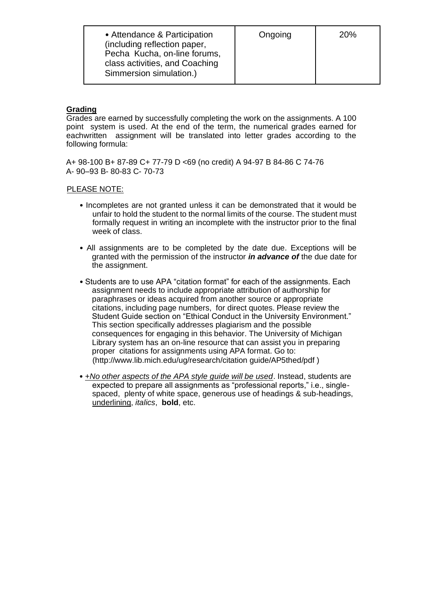| • Attendance & Participation<br>(including reflection paper,<br>Pecha Kucha, on-line forums.<br>class activities, and Coaching<br>Simmersion simulation.) | Ongoing | <b>20%</b> |
|-----------------------------------------------------------------------------------------------------------------------------------------------------------|---------|------------|
|                                                                                                                                                           |         |            |

# **Grading**

Grades are earned by successfully completing the work on the assignments. A 100 point system is used. At the end of the term, the numerical grades earned for eachwritten assignment will be translated into letter grades according to the following formula:

A+ 98-100 B+ 87-89 C+ 77-79 D <69 (no credit) A 94-97 B 84-86 C 74-76 A- 90–93 B- 80-83 C- 70-73

## PLEASE NOTE:

- Incompletes are not granted unless it can be demonstrated that it would be unfair to hold the student to the normal limits of the course. The student must formally request in writing an incomplete with the instructor prior to the final week of class.
- All assignments are to be completed by the date due. Exceptions will be granted with the permission of the instructor *in advance of* the due date for the assignment.
- Students are to use APA "citation format" for each of the assignments. Each assignment needs to include appropriate attribution of authorship for paraphrases or ideas acquired from another source or appropriate citations, including page numbers, for direct quotes. Please review the Student Guide section on "Ethical Conduct in the University Environment." This section specifically addresses plagiarism and the possible consequences for engaging in this behavior. The University of Michigan Library system has an on-line resource that can assist you in preparing proper citations for assignments using APA format. Go to: (http://www.lib.mich.edu/ug/research/citation guide/AP5thed/pdf )
- *+No other aspects of the APA style guide will be used*. Instead, students are expected to prepare all assignments as "professional reports," i.e., singlespaced, plenty of white space, generous use of headings & sub-headings, underlining, *italics*, **bold**, etc.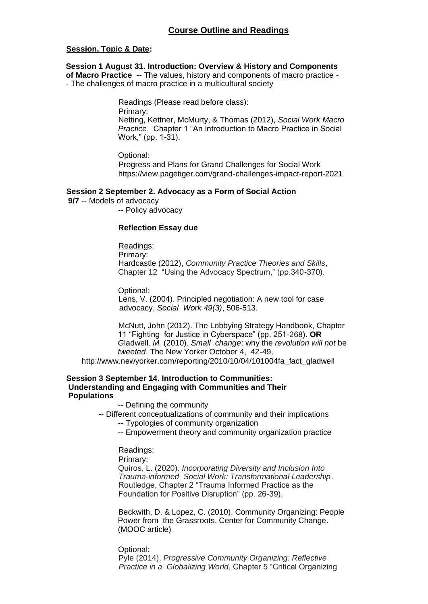## **Session, Topic & Date:**

**Session 1 August 31. Introduction: Overview & History and Components of Macro Practice** -- The values, history and components of macro practice - - The challenges of macro practice in a multicultural society

Readings (Please read before class):

Primary:

Netting, Kettner, McMurty, & Thomas (2012), *Social Work Macro Practice*, Chapter 1 "An Introduction to Macro Practice in Social Work," (pp. 1-31).

Optional:

Progress and Plans for Grand Challenges for Social Work https://view.pagetiger.com/grand-challenges-impact-report-2021

## **Session 2 September 2. Advocacy as a Form of Social Action**

**9/7** -- Models of advocacy

-- Policy advocacy

#### **Reflection Essay due**

Readings: Primary: Hardcastle (2012), *Community Practice Theories and Skills*, Chapter 12 "Using the Advocacy Spectrum," (pp.340-370).

Optional:

Lens, V. (2004). Principled negotiation: A new tool for case advocacy, *Social Work 49(3)*, 506-513.

McNutt, John (2012). The Lobbying Strategy Handbook, Chapter 11 "Fighting for Justice in Cyberspace" (pp. 251-268). **OR**  *G*ladwell*, M.* (2010). *Small change*: why the *revolution will not* be *tweeted*. The New Yorker October 4, 42-49,

http://www.newyorker.com/reporting/2010/10/04/101004fa\_fact\_gladwell

#### **Session 3 September 14. Introduction to Communities: Understanding and Engaging with Communities and Their Populations**

-- Defining the community

-- Different conceptualizations of community and their implications -- Typologies of community organization

-- Empowerment theory and community organization practice

### Readings:

Primary:

Quiros, L. (2020). *Incorporating Diversity and Inclusion Into Trauma-informed Social Work: Transformational Leadership*. Routledge, Chapter 2 "Trauma Informed Practice as the Foundation for Positive Disruption" (pp. 26-39).

Beckwith, D. & Lopez, C. (2010). Community Organizing: People Power from the Grassroots. Center for Community Change. (MOOC article)

Optional: Pyle (2014), *Progressive Community Organizing: Reflective Practice in a Globalizing World*, Chapter 5 "Critical Organizing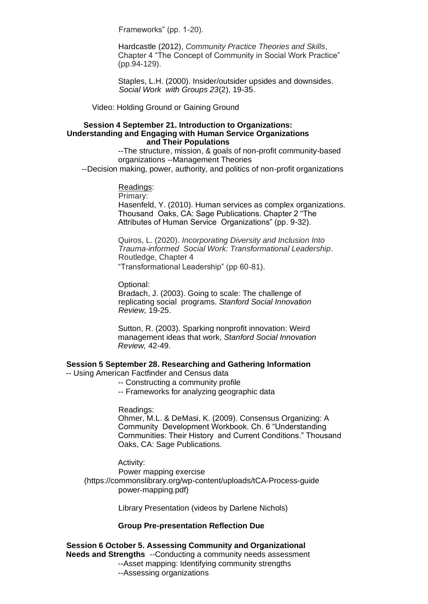Frameworks" (pp. 1-20).

Hardcastle (2012), *Community Practice Theories and Skills*, Chapter 4 "The Concept of Community in Social Work Practice" (pp.94-129).

Staples, L.H. (2000). Insider/outsider upsides and downsides. *Social Work with Groups 23*(2), 19-35.

Video: Holding Ground or Gaining Ground

#### **Session 4 September 21. Introduction to Organizations: Understanding and Engaging with Human Service Organizations and Their Populations**

--The structure, mission, & goals of non-profit community-based organizations --Management Theories

--Decision making, power, authority, and politics of non-profit organizations

## Readings:

Primary:

Hasenfeld, Y. (2010). Human services as complex organizations. Thousand Oaks, CA: Sage Publications. Chapter 2 "The Attributes of Human Service Organizations" (pp. 9-32).

Quiros, L. (2020). *Incorporating Diversity and Inclusion Into Trauma-informed Social Work: Transformational Leadership*. Routledge, Chapter 4 "Transformational Leadership" (pp 60-81).

Optional:

Bradach, J. (2003). Going to scale: The challenge of replicating social programs. *Stanford Social Innovation Review,* 19-25.

Sutton, R. (2003). Sparking nonprofit innovation: Weird management ideas that work, *Stanford Social Innovation Review,* 42-49.

### **Session 5 September 28. Researching and Gathering Information**

-- Using American Factfinder and Census data

- -- Constructing a community profile
- -- Frameworks for analyzing geographic data

## Readings:

Ohmer, M.L. & DeMasi, K. (2009). Consensus Organizing: A Community Development Workbook. Ch. 6 "Understanding Communities: Their History and Current Conditions." Thousand Oaks, CA: Sage Publications.

Activity:

Power mapping exercise (https://commonslibrary.org/wp-content/uploads/tCA-Process-guide power-mapping.pdf)

Library Presentation (videos by Darlene Nichols)

## **Group Pre-presentation Reflection Due**

**Session 6 October 5. Assessing Community and Organizational Needs and Strengths** --Conducting a community needs assessment --Asset mapping: Identifying community strengths --Assessing organizations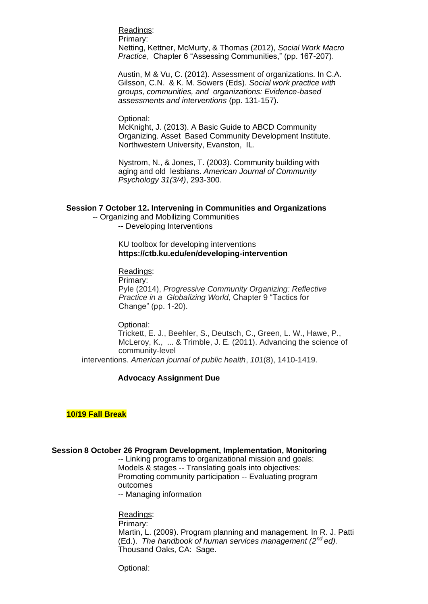Readings:

Primary:

Netting, Kettner, McMurty, & Thomas (2012), *Social Work Macro Practice*, Chapter 6 "Assessing Communities," (pp. 167-207).

Austin, M & Vu, C. (2012). Assessment of organizations. In C.A. Gilsson, C.N. & K. M. Sowers (Eds). *Social work practice with groups, communities, and organizations: Evidence-based assessments and interventions* (pp. 131-157).

### Optional:

McKnight, J. (2013). A Basic Guide to ABCD Community Organizing. Asset Based Community Development Institute. Northwestern University, Evanston, IL.

Nystrom, N., & Jones, T. (2003). Community building with aging and old lesbians. *American Journal of Community Psychology 31(3/4)*, 293-300.

### **Session 7 October 12. Intervening in Communities and Organizations**

-- Organizing and Mobilizing Communities -- Developing Interventions

> KU toolbox for developing interventions **https://ctb.ku.edu/en/developing-intervention**

#### Readings:

Primary:

Pyle (2014), *Progressive Community Organizing: Reflective Practice in a Globalizing World*, Chapter 9 "Tactics for Change" (pp. 1-20).

#### Optional:

Trickett, E. J., Beehler, S., Deutsch, C., Green, L. W., Hawe, P., McLeroy, K., ... & Trimble, J. E. (2011). Advancing the science of community-level

interventions. *American journal of public health*, *101*(8), 1410-1419.

### **Advocacy Assignment Due**

### **10/19 Fall Break**

### **Session 8 October 26 Program Development, Implementation, Monitoring**

-- Linking programs to organizational mission and goals: Models & stages -- Translating goals into objectives: Promoting community participation -- Evaluating program outcomes

-- Managing information

Readings: Primary: Martin, L. (2009). Program planning and management. In R. J. Patti (Ed.). *The handbook of human services management (2nd ed).*  Thousand Oaks, CA: Sage.

Optional: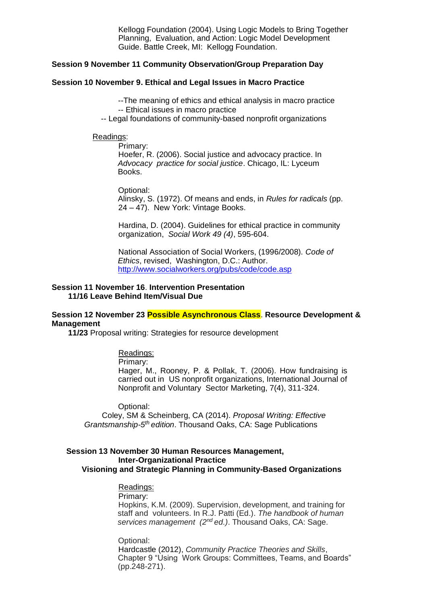Kellogg Foundation (2004). Using Logic Models to Bring Together Planning, Evaluation, and Action: Logic Model Development Guide. Battle Creek, MI: Kellogg Foundation.

#### **Session 9 November 11 Community Observation/Group Preparation Day**

#### **Session 10 November 9. Ethical and Legal Issues in Macro Practice**

--The meaning of ethics and ethical analysis in macro practice -- Ethical issues in macro practice

-- Legal foundations of community-based nonprofit organizations

#### Readings:

Primary:

Hoefer, R. (2006). Social justice and advocacy practice. In *Advocacy practice for social justice*. Chicago, IL: Lyceum Books.

Optional:

Alinsky, S. (1972). Of means and ends, in *Rules for radicals* (pp. 24 – 47). New York: Vintage Books.

Hardina, D. (2004). Guidelines for ethical practice in community organization, *Social Work 49 (4)*, 595-604.

National Association of Social Workers, (1996/2008). *Code of Ethics*, revised, Washington, D.C.: Author. http://www.socialworkers.org/pubs/code/code.asp

#### **Session 11 November 16**. **Intervention Presentation 11/16 Leave Behind Item/Visual Due**

## **Session 12 November 23 Possible Asynchronous Class**. **Resource Development & Management**

**11/23** Proposal writing: Strategies for resource development

# Readings:

Primary:

Hager, M., Rooney, P. & Pollak, T. (2006). How fundraising is carried out in US nonprofit organizations, International Journal of Nonprofit and Voluntary Sector Marketing, 7(4), 311-324.

Optional:

Coley, SM & Scheinberg, CA (2014). *Proposal Writing: Effective*  Grantsmanship-5<sup>th</sup> edition. Thousand Oaks, CA: Sage Publications

#### **Session 13 November 30 Human Resources Management, Inter-Organizational Practice Visioning and Strategic Planning in Community-Based Organizations**

# Readings:

#### Primary:

Hopkins, K.M. (2009). Supervision, development, and training for staff and volunteers. In R.J. Patti (Ed.). *The handbook of human services management (2nd ed.)*. Thousand Oaks, CA: Sage.

Optional:

Hardcastle (2012), *Community Practice Theories and Skills*, Chapter 9 "Using Work Groups: Committees, Teams, and Boards" (pp.248-271).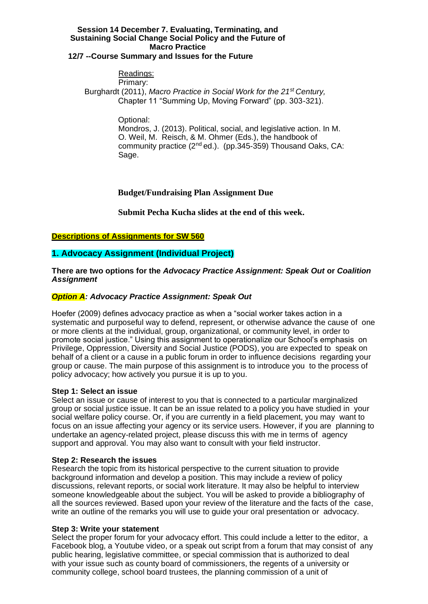# **Session 14 December 7. Evaluating, Terminating, and Sustaining Social Change Social Policy and the Future of Macro Practice**

# **12/7 --Course Summary and Issues for the Future**

#### Readings: Primary:

Burghardt (2011), *Macro Practice in Social Work for the 21st Century,*  Chapter 11 "Summing Up, Moving Forward" (pp. 303-321).

Optional:

Mondros, J. (2013). Political, social, and legislative action. In M. O. Weil, M. Reisch, & M. Ohmer (Eds.), the handbook of community practice  $(2^{nd}$  ed.). (pp.345-359) Thousand Oaks, CA: Sage.

# **Budget/Fundraising Plan Assignment Due**

**Submit Pecha Kucha slides at the end of this week.**

# **Descriptions of Assignments for SW 560**

# **1. Advocacy Assignment (Individual Project)**

**There are two options for the** *Advocacy Practice Assignment: Speak Out* **or** *Coalition Assignment* 

# *Option A: Advocacy Practice Assignment: Speak Out*

Hoefer (2009) defines advocacy practice as when a "social worker takes action in a systematic and purposeful way to defend, represent, or otherwise advance the cause of one or more clients at the individual, group, organizational, or community level, in order to promote social justice." Using this assignment to operationalize our School's emphasis on Privilege, Oppression, Diversity and Social Justice (PODS), you are expected to speak on behalf of a client or a cause in a public forum in order to influence decisions regarding your group or cause. The main purpose of this assignment is to introduce you to the process of policy advocacy; how actively you pursue it is up to you.

# **Step 1: Select an issue**

Select an issue or cause of interest to you that is connected to a particular marginalized group or social justice issue. It can be an issue related to a policy you have studied in your social welfare policy course. Or, if you are currently in a field placement, you may want to focus on an issue affecting your agency or its service users. However, if you are planning to undertake an agency-related project, please discuss this with me in terms of agency support and approval. You may also want to consult with your field instructor.

# **Step 2: Research the issues**

Research the topic from its historical perspective to the current situation to provide background information and develop a position. This may include a review of policy discussions, relevant reports, or social work literature. It may also be helpful to interview someone knowledgeable about the subject. You will be asked to provide a bibliography of all the sources reviewed. Based upon your review of the literature and the facts of the case, write an outline of the remarks you will use to guide your oral presentation or advocacy.

# **Step 3: Write your statement**

Select the proper forum for your advocacy effort. This could include a letter to the editor, a Facebook blog, a Youtube video, or a speak out script from a forum that may consist of any public hearing, legislative committee, or special commission that is authorized to deal with your issue such as county board of commissioners, the regents of a university or community college, school board trustees, the planning commission of a unit of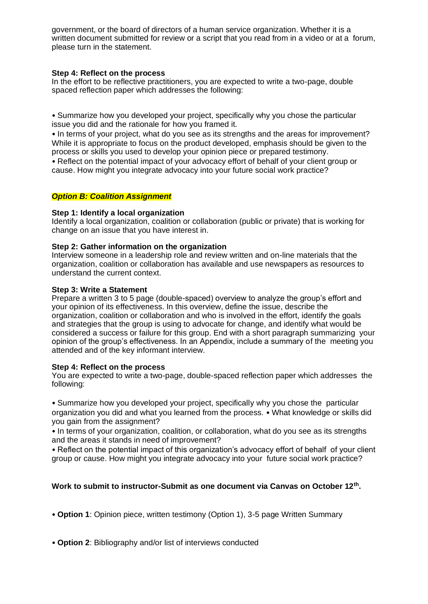government, or the board of directors of a human service organization. Whether it is a written document submitted for review or a script that you read from in a video or at a forum, please turn in the statement.

## **Step 4: Reflect on the process**

In the effort to be reflective practitioners, you are expected to write a two-page, double spaced reflection paper which addresses the following:

• Summarize how you developed your project, specifically why you chose the particular issue you did and the rationale for how you framed it.

• In terms of your project, what do you see as its strengths and the areas for improvement? While it is appropriate to focus on the product developed, emphasis should be given to the process or skills you used to develop your opinion piece or prepared testimony.

• Reflect on the potential impact of your advocacy effort of behalf of your client group or cause. How might you integrate advocacy into your future social work practice?

### *Option B: Coalition Assignment*

## **Step 1: Identify a local organization**

Identify a local organization, coalition or collaboration (public or private) that is working for change on an issue that you have interest in.

## **Step 2: Gather information on the organization**

Interview someone in a leadership role and review written and on-line materials that the organization, coalition or collaboration has available and use newspapers as resources to understand the current context.

### **Step 3: Write a Statement**

Prepare a written 3 to 5 page (double-spaced) overview to analyze the group's effort and your opinion of its effectiveness. In this overview, define the issue, describe the organization, coalition or collaboration and who is involved in the effort, identify the goals and strategies that the group is using to advocate for change, and identify what would be considered a success or failure for this group. End with a short paragraph summarizing your opinion of the group's effectiveness. In an Appendix, include a summary of the meeting you attended and of the key informant interview.

### **Step 4: Reflect on the process**

You are expected to write a two-page, double-spaced reflection paper which addresses the following:

• Summarize how you developed your project, specifically why you chose the particular organization you did and what you learned from the process. • What knowledge or skills did you gain from the assignment?

• In terms of your organization, coalition, or collaboration, what do you see as its strengths and the areas it stands in need of improvement?

• Reflect on the potential impact of this organization's advocacy effort of behalf of your client group or cause. How might you integrate advocacy into your future social work practice?

# **Work to submit to instructor-Submit as one document via Canvas on October 12th .**

• **Option 1**: Opinion piece, written testimony (Option 1), 3-5 page Written Summary

• **Option 2**: Bibliography and/or list of interviews conducted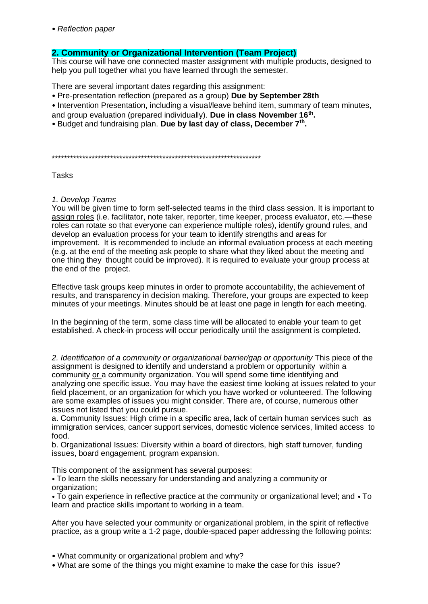• *Reflection paper*

# **2. Community or Organizational Intervention (Team Project)**

This course will have one connected master assignment with multiple products, designed to help you pull together what you have learned through the semester.

There are several important dates regarding this assignment:

- Pre-presentation reflection (prepared as a group) **Due by September 28th**
- Intervention Presentation, including a visual/leave behind item, summary of team minutes,
- and group evaluation (prepared individually). **Due in class November 16th .**
- Budget and fundraising plan. **Due by last day of class, December 7th .**

\*\*\*\*\*\*\*\*\*\*\*\*\*\*\*\*\*\*\*\*\*\*\*\*\*\*\*\*\*\*\*\*\*\*\*\*\*\*\*\*\*\*\*\*\*\*\*\*\*\*\*\*\*\*\*\*\*\*\*\*\*\*\*\*\*\*\*\*

Tasks

### *1. Develop Teams*

You will be given time to form self-selected teams in the third class session. It is important to assign roles (i.e. facilitator, note taker, reporter, time keeper, process evaluator, etc.—these roles can rotate so that everyone can experience multiple roles), identify ground rules, and develop an evaluation process for your team to identify strengths and areas for improvement. It is recommended to include an informal evaluation process at each meeting (e.g. at the end of the meeting ask people to share what they liked about the meeting and one thing they thought could be improved). It is required to evaluate your group process at the end of the project.

Effective task groups keep minutes in order to promote accountability, the achievement of results, and transparency in decision making. Therefore, your groups are expected to keep minutes of your meetings. Minutes should be at least one page in length for each meeting.

In the beginning of the term, some class time will be allocated to enable your team to get established. A check-in process will occur periodically until the assignment is completed.

2. Identification of a community or organizational barrier/gap or opportunity This piece of the assignment is designed to identify and understand a problem or opportunity within a community or a community organization. You will spend some time identifying and analyzing one specific issue. You may have the easiest time looking at issues related to your field placement, or an organization for which you have worked or volunteered. The following are some examples of issues you might consider. There are, of course, numerous other issues not listed that you could pursue.

a. Community Issues: High crime in a specific area, lack of certain human services such as immigration services, cancer support services, domestic violence services, limited access to food.

b. Organizational Issues: Diversity within a board of directors, high staff turnover, funding issues, board engagement, program expansion.

This component of the assignment has several purposes:

• To learn the skills necessary for understanding and analyzing a community or organization;

• To gain experience in reflective practice at the community or organizational level; and • To learn and practice skills important to working in a team.

After you have selected your community or organizational problem, in the spirit of reflective practice, as a group write a 1-2 page, double-spaced paper addressing the following points:

• What community or organizational problem and why?

• What are some of the things you might examine to make the case for this issue?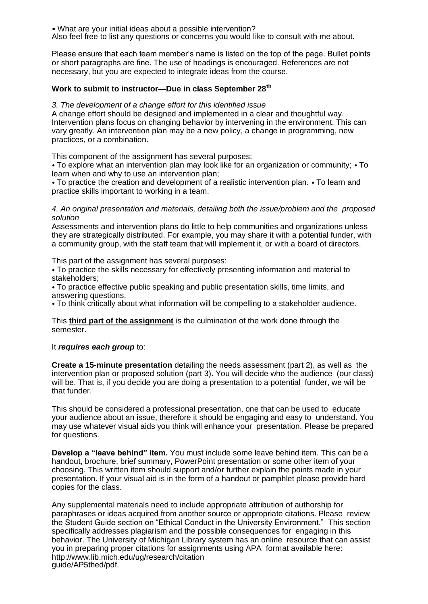• What are your initial ideas about a possible intervention? Also feel free to list any questions or concerns you would like to consult with me about.

Please ensure that each team member's name is listed on the top of the page. Bullet points or short paragraphs are fine. The use of headings is encouraged. References are not necessary, but you are expected to integrate ideas from the course.

# **Work to submit to instructor—Due in class September 28th**

## *3. The development of a change effort for this identified issue*

A change effort should be designed and implemented in a clear and thoughtful way. Intervention plans focus on changing behavior by intervening in the environment. This can vary greatly. An intervention plan may be a new policy, a change in programming, new practices, or a combination.

This component of the assignment has several purposes:

• To explore what an intervention plan may look like for an organization or community; • To learn when and why to use an intervention plan;

• To practice the creation and development of a realistic intervention plan. • To learn and practice skills important to working in a team.

## *4. An original presentation and materials, detailing both the issue/problem and the proposed solution*

Assessments and intervention plans do little to help communities and organizations unless they are strategically distributed. For example, you may share it with a potential funder, with a community group, with the staff team that will implement it, or with a board of directors.

This part of the assignment has several purposes:

• To practice the skills necessary for effectively presenting information and material to stakeholders;

• To practice effective public speaking and public presentation skills, time limits, and answering questions.

• To think critically about what information will be compelling to a stakeholder audience.

This **third part of the assignment** is the culmination of the work done through the semester.

### It *requires each group* to:

**Create a 15-minute presentation** detailing the needs assessment (part 2), as well as the intervention plan or proposed solution (part 3). You will decide who the audience (our class) will be. That is, if you decide you are doing a presentation to a potential funder, we will be that funder.

This should be considered a professional presentation, one that can be used to educate your audience about an issue, therefore it should be engaging and easy to understand. You may use whatever visual aids you think will enhance your presentation. Please be prepared for questions.

**Develop a "leave behind" item.** You must include some leave behind item. This can be a handout, brochure, brief summary, PowerPoint presentation or some other item of your choosing. This written item should support and/or further explain the points made in your presentation. If your visual aid is in the form of a handout or pamphlet please provide hard copies for the class.

Any supplemental materials need to include appropriate attribution of authorship for paraphrases or ideas acquired from another source or appropriate citations. Please review the Student Guide section on "Ethical Conduct in the University Environment." This section specifically addresses plagiarism and the possible consequences for engaging in this behavior. The University of Michigan Library system has an online resource that can assist you in preparing proper citations for assignments using APA format available here: http://www.lib.mich.edu/ug/research/citation guide/AP5thed/pdf.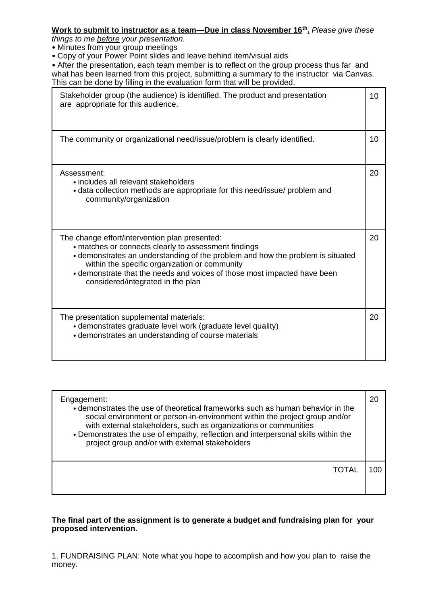# **Work to submit to instructor as a team—Due in class November 16th .** *Please give these*

*things to me before your presentation.* 

• Minutes from your group meetings

• Copy of your Power Point slides and leave behind item/visual aids

• After the presentation, each team member is to reflect on the group process thus far and what has been learned from this project, submitting a summary to the instructor via Canvas. This can be done by filling in the evaluation form that will be provided.

| Stakeholder group (the audience) is identified. The product and presentation<br>are appropriate for this audience.                                                                                                                                                                                                                                         | 10 |
|------------------------------------------------------------------------------------------------------------------------------------------------------------------------------------------------------------------------------------------------------------------------------------------------------------------------------------------------------------|----|
| The community or organizational need/issue/problem is clearly identified.                                                                                                                                                                                                                                                                                  | 10 |
| Assessment:<br>• includes all relevant stakeholders<br>• data collection methods are appropriate for this need/issue/ problem and<br>community/organization                                                                                                                                                                                                | 20 |
| The change effort/intervention plan presented:<br>• matches or connects clearly to assessment findings<br>• demonstrates an understanding of the problem and how the problem is situated<br>within the specific organization or community<br>• demonstrate that the needs and voices of those most impacted have been<br>considered/integrated in the plan | 20 |
| The presentation supplemental materials:<br>• demonstrates graduate level work (graduate level quality)<br>• demonstrates an understanding of course materials                                                                                                                                                                                             | 20 |

| Engagement:<br>• demonstrates the use of theoretical frameworks such as human behavior in the<br>social environment or person-in-environment within the project group and/or<br>with external stakeholders, such as organizations or communities<br>• Demonstrates the use of empathy, reflection and interpersonal skills within the<br>project group and/or with external stakeholders |  |
|------------------------------------------------------------------------------------------------------------------------------------------------------------------------------------------------------------------------------------------------------------------------------------------------------------------------------------------------------------------------------------------|--|
| TOTAL                                                                                                                                                                                                                                                                                                                                                                                    |  |

# **The final part of the assignment is to generate a budget and fundraising plan for your proposed intervention.**

1. FUNDRAISING PLAN: Note what you hope to accomplish and how you plan to raise the money.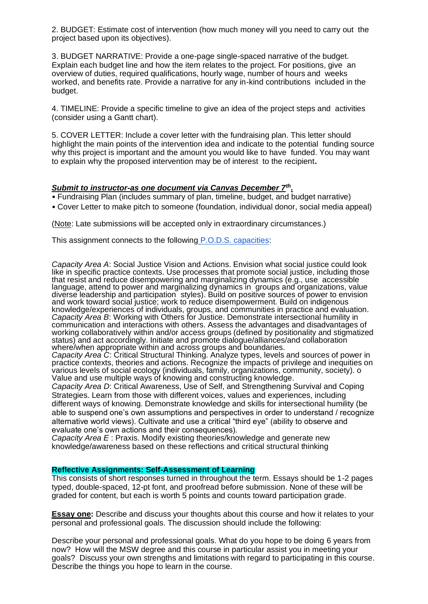2. BUDGET: Estimate cost of intervention (how much money will you need to carry out the project based upon its objectives).

3. BUDGET NARRATIVE: Provide a one-page single-spaced narrative of the budget. Explain each budget line and how the item relates to the project. For positions, give an overview of duties, required qualifications, hourly wage, number of hours and weeks worked, and benefits rate. Provide a narrative for any in-kind contributions included in the budget.

4. TIMELINE: Provide a specific timeline to give an idea of the project steps and activities (consider using a Gantt chart).

5. COVER LETTER: Include a cover letter with the fundraising plan. This letter should highlight the main points of the intervention idea and indicate to the potential funding source why this project is important and the amount you would like to have funded. You may want to explain why the proposed intervention may be of interest to the recipient**.** 

## *Submit to instructor-as one document via Canvas December 7th .*

- Fundraising Plan (includes summary of plan, timeline, budget, and budget narrative)
- Cover Letter to make pitch to someone (foundation, individual donor, social media appeal)

(Note: Late submissions will be accepted only in extraordinary circumstances.)

This assignment connects to the following P.O.D.S. capacities:

*Capacity Area A*: Social Justice Vision and Actions. Envision what social justice could look like in specific practice contexts. Use processes that promote social justice, including those that resist and reduce disempowering and marginalizing dynamics (e.g., use accessible language, attend to power and marginalizing dynamics in groups and organizations, value diverse leadership and participation styles). Build on positive sources of power to envision and work toward social justice; work to reduce disempowerment. Build on indigenous knowledge/experiences of individuals, groups, and communities in practice and evaluation. *Capacity Area B*: Working with Others for Justice. Demonstrate intersectional humility in communication and interactions with others. Assess the advantages and disadvantages of working collaboratively within and/or access groups (defined by positionality and stigmatized status) and act accordingly. Initiate and promote dialogue/alliances/and collaboration where/when appropriate within and across groups and boundaries.

*Capacity Area C*: Critical Structural Thinking. Analyze types, levels and sources of power in practice contexts, theories and actions. Recognize the impacts of privilege and inequities on various levels of social ecology (individuals, family, organizations, community, society). o Value and use multiple ways of knowing and constructing knowledge.

*Capacity Area D*: Critical Awareness, Use of Self, and Strengthening Survival and Coping Strategies. Learn from those with different voices, values and experiences, including different ways of knowing. Demonstrate knowledge and skills for intersectional humility (be able to suspend one's own assumptions and perspectives in order to understand / recognize alternative world views). Cultivate and use a critical "third eye" (ability to observe and evaluate one's own actions and their consequences).

*Capacity Area E* : Praxis. Modify existing theories/knowledge and generate new knowledge/awareness based on these reflections and critical structural thinking

### **Reflective Assignments: Self-Assessment of Learning**

This consists of short responses turned in throughout the term. Essays should be 1-2 pages typed, double-spaced, 12-pt font, and proofread before submission. None of these will be graded for content, but each is worth 5 points and counts toward participation grade.

**Essay one:** Describe and discuss your thoughts about this course and how it relates to your personal and professional goals. The discussion should include the following:

Describe your personal and professional goals. What do you hope to be doing 6 years from now? How will the MSW degree and this course in particular assist you in meeting your goals? Discuss your own strengths and limitations with regard to participating in this course. Describe the things you hope to learn in the course.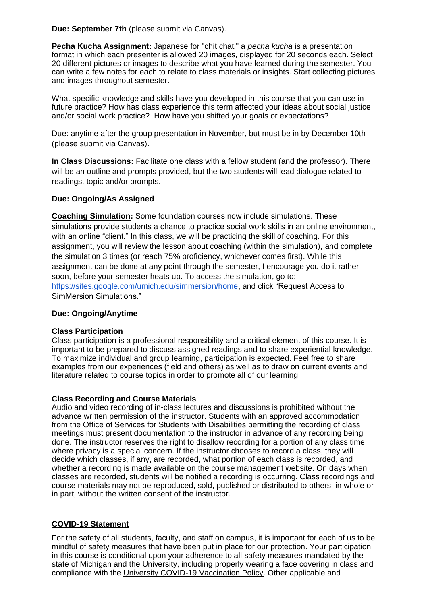**Due: September 7th** (please submit via Canvas).

**Pecha Kucha Assignment:** Japanese for "chit chat," a *pecha kucha* is a presentation format in which each presenter is allowed 20 images, displayed for 20 seconds each. Select 20 different pictures or images to describe what you have learned during the semester. You can write a few notes for each to relate to class materials or insights. Start collecting pictures and images throughout semester.

What specific knowledge and skills have you developed in this course that you can use in future practice? How has class experience this term affected your ideas about social justice and/or social work practice? How have you shifted your goals or expectations?

Due: anytime after the group presentation in November, but must be in by December 10th (please submit via Canvas).

**In Class Discussions:** Facilitate one class with a fellow student (and the professor). There will be an outline and prompts provided, but the two students will lead dialogue related to readings, topic and/or prompts.

# **Due: Ongoing/As Assigned**

**Coaching Simulation:** Some foundation courses now include simulations. These simulations provide students a chance to practice social work skills in an online environment, with an online "client." In this class, we will be practicing the skill of coaching. For this assignment, you will review the lesson about coaching (within the simulation), and complete the simulation 3 times (or reach 75% proficiency, whichever comes first). While this assignment can be done at any point through the semester, I encourage you do it rather soon, before your semester heats up. To access the simulation, go to: https://sites.google.com/umich.edu/simmersion/home, and click "Request Access to SimMersion Simulations."

# **Due: Ongoing/Anytime**

# **Class Participation**

Class participation is a professional responsibility and a critical element of this course. It is important to be prepared to discuss assigned readings and to share experiential knowledge. To maximize individual and group learning, participation is expected. Feel free to share examples from our experiences (field and others) as well as to draw on current events and literature related to course topics in order to promote all of our learning.

# **Class Recording and Course Materials**

Audio and video recording of in-class lectures and discussions is prohibited without the advance written permission of the instructor. Students with an approved accommodation from the Office of Services for Students with Disabilities permitting the recording of class meetings must present documentation to the instructor in advance of any recording being done. The instructor reserves the right to disallow recording for a portion of any class time where privacy is a special concern. If the instructor chooses to record a class, they will decide which classes, if any, are recorded, what portion of each class is recorded, and whether a recording is made available on the course management website. On days when classes are recorded, students will be notified a recording is occurring. Class recordings and course materials may not be reproduced, sold, published or distributed to others, in whole or in part, without the written consent of the instructor.

# **COVID-19 Statement**

For the safety of all students, faculty, and staff on campus, it is important for each of us to be mindful of safety measures that have been put in place for our protection. Your participation in this course is conditional upon your adherence to all safety measures mandated by the state of Michigan and the University, including properly wearing a face covering in class and compliance with the University COVID-19 Vaccination Policy. Other applicable and